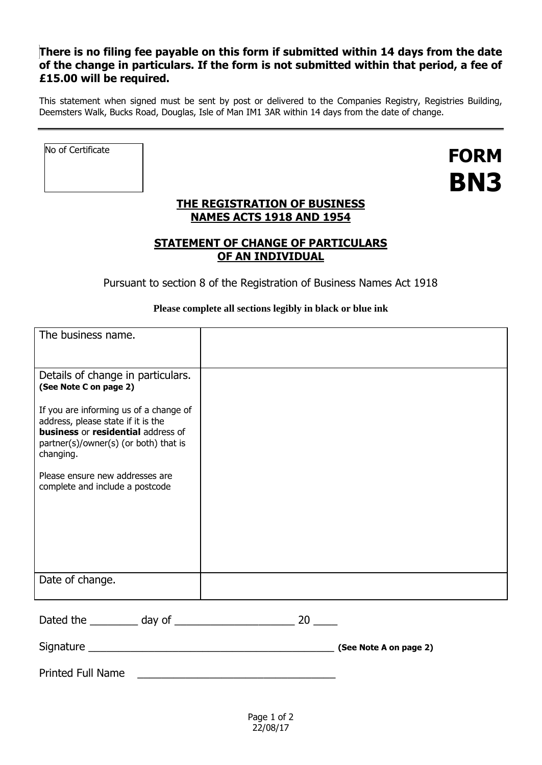# **There is no filing fee payable on this form if submitted within 14 days from the date of the change in particulars. If the form is not submitted within that period, a fee of £15.00 will be required.**

This statement when signed must be sent by post or delivered to the Companies Registry, Registries Building, Deemsters Walk, Bucks Road, Douglas, Isle of Man IM1 3AR within 14 days from the date of change.

No of Certificate

Printed Full Name

**FORM BN3**

# **THE REGISTRATION OF BUSINESS NAMES ACTS 1918 AND 1954**

# **STATEMENT OF CHANGE OF PARTICULARS OF AN INDIVIDUAL**

Pursuant to section 8 of the Registration of Business Names Act 1918

## **Please complete all sections legibly in black or blue ink**

| The business name.                                                                                                                                                       |                        |  |
|--------------------------------------------------------------------------------------------------------------------------------------------------------------------------|------------------------|--|
| Details of change in particulars.<br>(See Note C on page 2)                                                                                                              |                        |  |
| If you are informing us of a change of<br>address, please state if it is the<br>business or residential address of<br>partner(s)/owner(s) (or both) that is<br>changing. |                        |  |
| Please ensure new addresses are<br>complete and include a postcode                                                                                                       |                        |  |
| Date of change.                                                                                                                                                          |                        |  |
|                                                                                                                                                                          |                        |  |
|                                                                                                                                                                          | (See Note A on page 2) |  |

Page 1 of 2 22/08/17